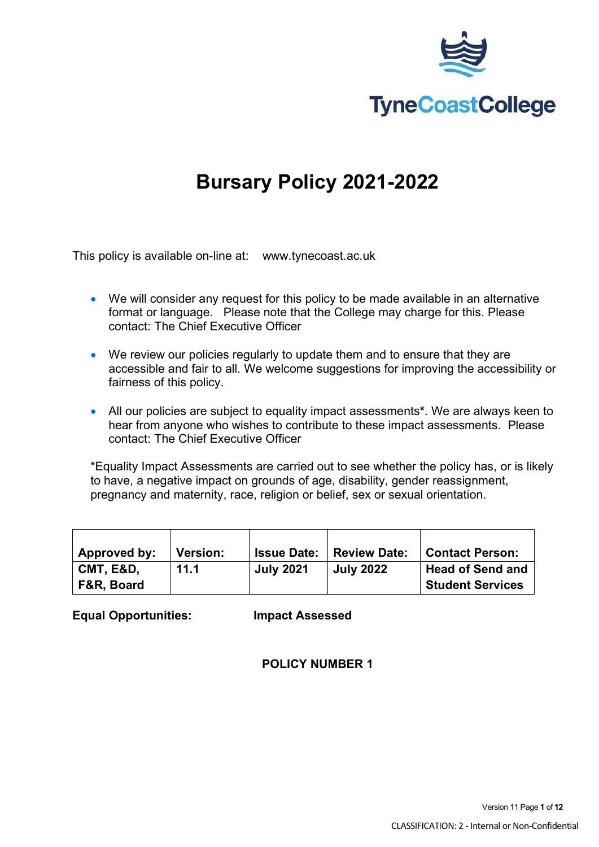

# **Bursary Policy 2021-2022**

This policy is available on-line at: www.tynecoast.ac.uk

- We will consider any request for this policy to be made available in an alternative format or language. Please note that the College may charge for this. Please contact: The Chief Executive Officer
- We review our policies regularly to update them and to ensure that they are accessible and fair to all. We welcome suggestions for improving the accessibility or fairness of this policy.
- All our policies are subject to equality impact assessments**\***. We are always keen to hear from anyone who wishes to contribute to these impact assessments. Please contact: The Chief Executive Officer

\*Equality Impact Assessments are carried out to see whether the policy has, or is likely to have, a negative impact on grounds of age, disability, gender reassignment, pregnancy and maternity, race, religion or belief, sex or sexual orientation.

| Approved by:            | <b>Version:</b> | <b>Issue Date:</b> | <b>Review Date:</b> | <b>Contact Person:</b>                             |
|-------------------------|-----------------|--------------------|---------------------|----------------------------------------------------|
| CMT, E&D,<br>F&R, Board | 11.1            | <b>July 2021</b>   | <b>July 2022</b>    | <b>Head of Send and</b><br><b>Student Services</b> |

**Equal Opportunities: Impact Assessed**

**POLICY NUMBER 1**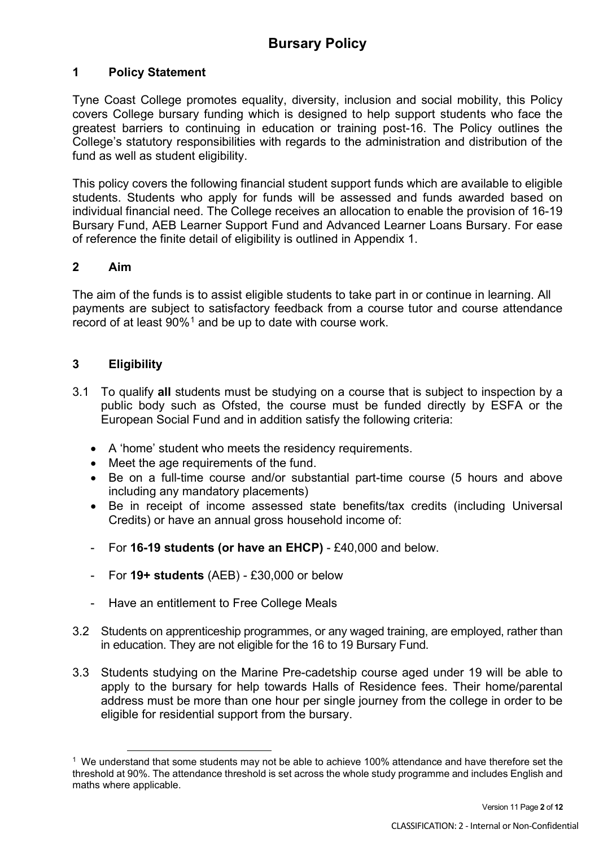## **1 Policy Statement**

Tyne Coast College promotes equality, diversity, inclusion and social mobility, this Policy covers College bursary funding which is designed to help support students who face the greatest barriers to continuing in education or training post-16. The Policy outlines the College's statutory responsibilities with regards to the administration and distribution of the fund as well as student eligibility.

This policy covers the following financial student support funds which are available to eligible students. Students who apply for funds will be assessed and funds awarded based on individual financial need. The College receives an allocation to enable the provision of 16-19 Bursary Fund, AEB Learner Support Fund and Advanced Learner Loans Bursary. For ease of reference the finite detail of eligibility is outlined in Appendix 1.

## **2 Aim**

The aim of the funds is to assist eligible students to take part in or continue in learning. All payments are subject to satisfactory feedback from a course tutor and course attendance record of at least 90%<sup>[1](#page-1-0)</sup> and be up to date with course work.

## **3 Eligibility**

- 3.1 To qualify **all** students must be studying on a course that is subject to inspection by a public body such as Ofsted, the course must be funded directly by ESFA or the European Social Fund and in addition satisfy the following criteria:
	- A 'home' student who meets the residency requirements.
	- Meet the age requirements of the fund.
	- Be on a full-time course and/or substantial part-time course (5 hours and above including any mandatory placements)
	- Be in receipt of income assessed state benefits/tax credits (including Universal Credits) or have an annual gross household income of:
	- For **16-19 students (or have an EHCP)** £40,000 and below.
	- For **19+ students** (AEB) £30,000 or below
	- Have an entitlement to Free College Meals
- 3.2 Students on apprenticeship programmes, or any waged training, are employed, rather than in education. They are not eligible for the 16 to 19 Bursary Fund.
- 3.3 Students studying on the Marine Pre-cadetship course aged under 19 will be able to apply to the bursary for help towards Halls of Residence fees. Their home/parental address must be more than one hour per single journey from the college in order to be eligible for residential support from the bursary.

<span id="page-1-0"></span> $1$  We understand that some students may not be able to achieve 100% attendance and have therefore set the threshold at 90%. The attendance threshold is set across the whole study programme and includes English and maths where applicable.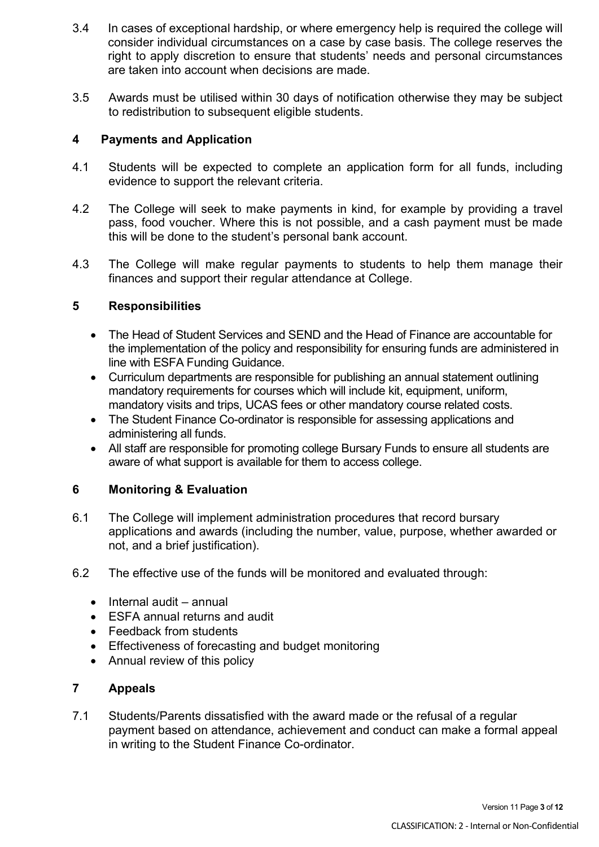- 3.4 In cases of exceptional hardship, or where emergency help is required the college will consider individual circumstances on a case by case basis. The college reserves the right to apply discretion to ensure that students' needs and personal circumstances are taken into account when decisions are made.
- 3.5 Awards must be utilised within 30 days of notification otherwise they may be subject to redistribution to subsequent eligible students.

## **4 Payments and Application**

- 4.1 Students will be expected to complete an application form for all funds, including evidence to support the relevant criteria.
- 4.2 The College will seek to make payments in kind, for example by providing a travel pass, food voucher. Where this is not possible, and a cash payment must be made this will be done to the student's personal bank account.
- 4.3 The College will make regular payments to students to help them manage their finances and support their regular attendance at College.

#### **5 Responsibilities**

- The Head of Student Services and SEND and the Head of Finance are accountable for the implementation of the policy and responsibility for ensuring funds are administered in line with ESFA Funding Guidance.
- Curriculum departments are responsible for publishing an annual statement outlining mandatory requirements for courses which will include kit, equipment, uniform, mandatory visits and trips, UCAS fees or other mandatory course related costs.
- The Student Finance Co-ordinator is responsible for assessing applications and administering all funds.
- All staff are responsible for promoting college Bursary Funds to ensure all students are aware of what support is available for them to access college.

## **6 Monitoring & Evaluation**

- 6.1 The College will implement administration procedures that record bursary applications and awards (including the number, value, purpose, whether awarded or not, and a brief justification).
- 6.2 The effective use of the funds will be monitored and evaluated through:
	- Internal audit annual
	- ESFA annual returns and audit
	- Feedback from students
	- Effectiveness of forecasting and budget monitoring
	- Annual review of this policy

## **7 Appeals**

7.1 Students/Parents dissatisfied with the award made or the refusal of a regular payment based on attendance, achievement and conduct can make a formal appeal in writing to the Student Finance Co-ordinator.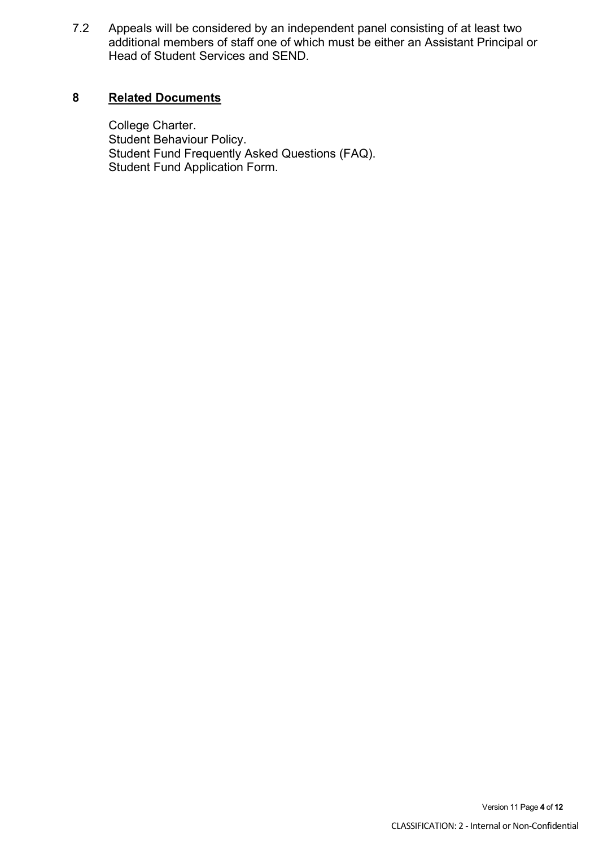7.2 Appeals will be considered by an independent panel consisting of at least two additional members of staff one of which must be either an Assistant Principal or Head of Student Services and SEND.

## **8 Related Documents**

College Charter. Student Behaviour Policy. Student Fund Frequently Asked Questions (FAQ). Student Fund Application Form.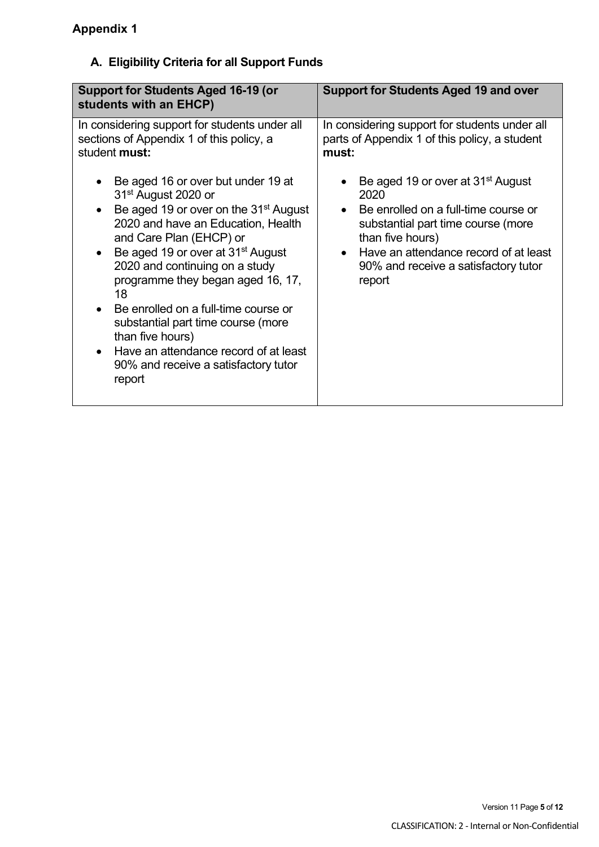# **A. Eligibility Criteria for all Support Funds**

| <b>Support for Students Aged 16-19 (or</b><br>students with an EHCP)                                                                                                                                                                                                                                                                                                                                                                                                                                                                             | <b>Support for Students Aged 19 and over</b>                                                                                                                                                                                                                    |  |
|--------------------------------------------------------------------------------------------------------------------------------------------------------------------------------------------------------------------------------------------------------------------------------------------------------------------------------------------------------------------------------------------------------------------------------------------------------------------------------------------------------------------------------------------------|-----------------------------------------------------------------------------------------------------------------------------------------------------------------------------------------------------------------------------------------------------------------|--|
| In considering support for students under all<br>sections of Appendix 1 of this policy, a<br>student must:                                                                                                                                                                                                                                                                                                                                                                                                                                       | In considering support for students under all<br>parts of Appendix 1 of this policy, a student<br>must:                                                                                                                                                         |  |
| Be aged 16 or over but under 19 at<br>31 <sup>st</sup> August 2020 or<br>Be aged 19 or over on the 31 <sup>st</sup> August<br>$\bullet$<br>2020 and have an Education, Health<br>and Care Plan (EHCP) or<br>Be aged 19 or over at 31 <sup>st</sup> August<br>2020 and continuing on a study<br>programme they began aged 16, 17,<br>18<br>Be enrolled on a full-time course or<br>substantial part time course (more<br>than five hours)<br>Have an attendance record of at least<br>$\bullet$<br>90% and receive a satisfactory tutor<br>report | Be aged 19 or over at 31 <sup>st</sup> August<br>2020<br>Be enrolled on a full-time course or<br>substantial part time course (more<br>than five hours)<br>Have an attendance record of at least<br>$\bullet$<br>90% and receive a satisfactory tutor<br>report |  |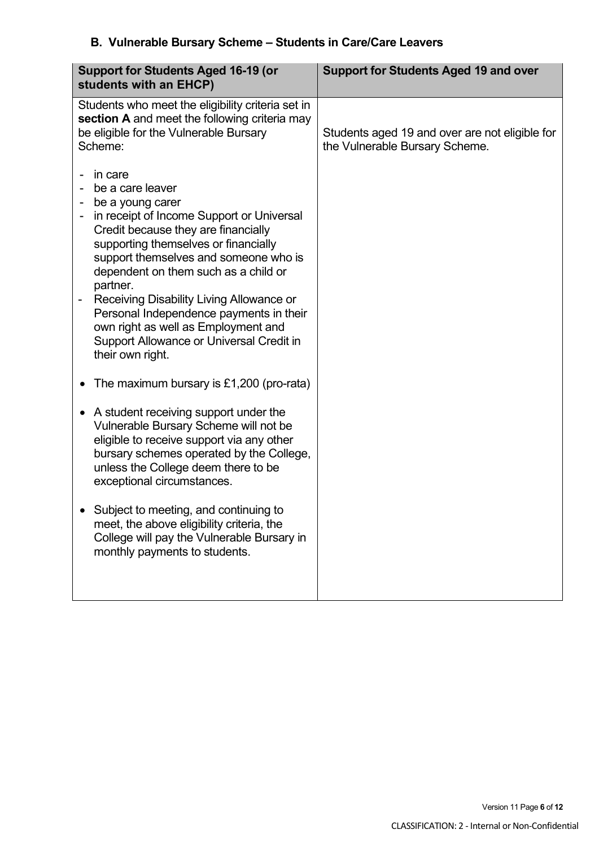# **B. Vulnerable Bursary Scheme – Students in Care/Care Leavers**

| <b>Support for Students Aged 16-19 (or</b><br>students with an EHCP)                                                                                                                                                                                                                                                                                                                                                                                                   | <b>Support for Students Aged 19 and over</b>                                     |
|------------------------------------------------------------------------------------------------------------------------------------------------------------------------------------------------------------------------------------------------------------------------------------------------------------------------------------------------------------------------------------------------------------------------------------------------------------------------|----------------------------------------------------------------------------------|
| Students who meet the eligibility criteria set in<br>section A and meet the following criteria may<br>be eligible for the Vulnerable Bursary<br>Scheme:                                                                                                                                                                                                                                                                                                                | Students aged 19 and over are not eligible for<br>the Vulnerable Bursary Scheme. |
| in care<br>be a care leaver<br>be a young carer<br>in receipt of Income Support or Universal<br>Credit because they are financially<br>supporting themselves or financially<br>support themselves and someone who is<br>dependent on them such as a child or<br>partner.<br>Receiving Disability Living Allowance or<br>Personal Independence payments in their<br>own right as well as Employment and<br>Support Allowance or Universal Credit in<br>their own right. |                                                                                  |
| The maximum bursary is £1,200 (pro-rata)<br>A student receiving support under the<br>Vulnerable Bursary Scheme will not be<br>eligible to receive support via any other<br>bursary schemes operated by the College,<br>unless the College deem there to be<br>exceptional circumstances.<br>Subject to meeting, and continuing to<br>meet, the above eligibility criteria, the<br>College will pay the Vulnerable Bursary in<br>monthly payments to students.          |                                                                                  |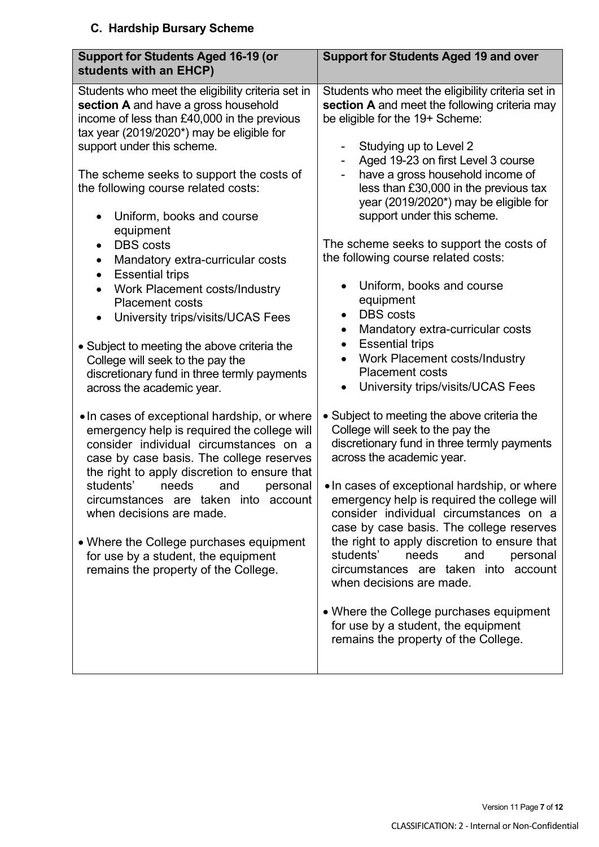# **C. Hardship Bursary Scheme**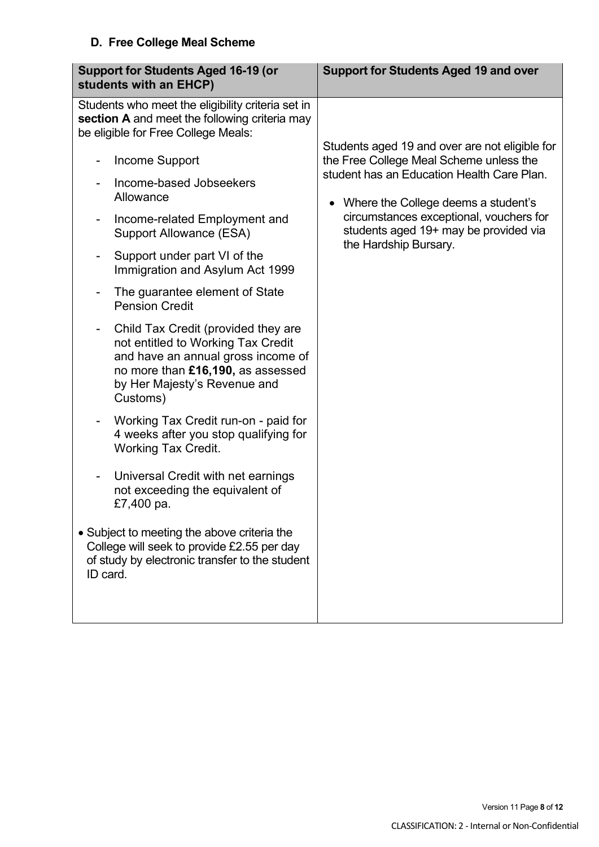# **D. Free College Meal Scheme**

| <b>Support for Students Aged 16-19 (or</b><br>students with an EHCP)                                                                                                                                                                                                                                                                                                                                                                                                                                                                                                                                                                                                                                                                                                                                                                                                                                                                                                        | <b>Support for Students Aged 19 and over</b>                                                                                                                                                                                                                                                  |
|-----------------------------------------------------------------------------------------------------------------------------------------------------------------------------------------------------------------------------------------------------------------------------------------------------------------------------------------------------------------------------------------------------------------------------------------------------------------------------------------------------------------------------------------------------------------------------------------------------------------------------------------------------------------------------------------------------------------------------------------------------------------------------------------------------------------------------------------------------------------------------------------------------------------------------------------------------------------------------|-----------------------------------------------------------------------------------------------------------------------------------------------------------------------------------------------------------------------------------------------------------------------------------------------|
| Students who meet the eligibility criteria set in<br>section A and meet the following criteria may<br>be eligible for Free College Meals:<br>Income Support<br>Income-based Jobseekers<br>Allowance<br>Income-related Employment and<br>-<br>Support Allowance (ESA)<br>Support under part VI of the<br>۰<br>Immigration and Asylum Act 1999<br>The guarantee element of State<br><b>Pension Credit</b><br>Child Tax Credit (provided they are<br>not entitled to Working Tax Credit<br>and have an annual gross income of<br>no more than £16,190, as assessed<br>by Her Majesty's Revenue and<br>Customs)<br>Working Tax Credit run-on - paid for<br>4 weeks after you stop qualifying for<br><b>Working Tax Credit.</b><br>Universal Credit with net earnings<br>not exceeding the equivalent of<br>£7,400 pa.<br>• Subject to meeting the above criteria the<br>College will seek to provide £2.55 per day<br>of study by electronic transfer to the student<br>ID card | Students aged 19 and over are not eligible for<br>the Free College Meal Scheme unless the<br>student has an Education Health Care Plan.<br>• Where the College deems a student's<br>circumstances exceptional, vouchers for<br>students aged 19+ may be provided via<br>the Hardship Bursary. |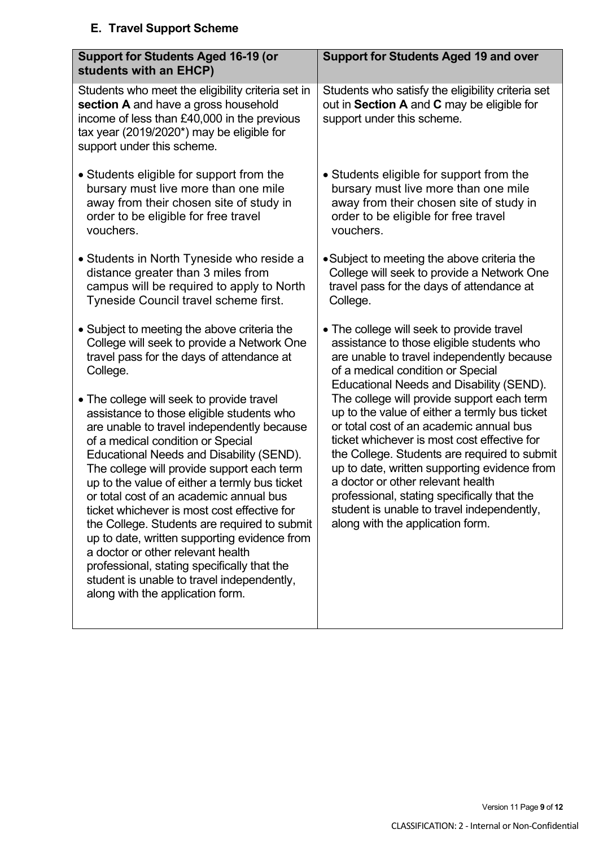# **E. Travel Support Scheme**

| <b>Support for Students Aged 16-19 (or</b><br>students with an EHCP)                                                                                                                                                                                                                                                                                                                                                                                                                                                                                                                                                                                                                        | <b>Support for Students Aged 19 and over</b>                                                                                                                                                                                                                                                                                                                                                                                                                |
|---------------------------------------------------------------------------------------------------------------------------------------------------------------------------------------------------------------------------------------------------------------------------------------------------------------------------------------------------------------------------------------------------------------------------------------------------------------------------------------------------------------------------------------------------------------------------------------------------------------------------------------------------------------------------------------------|-------------------------------------------------------------------------------------------------------------------------------------------------------------------------------------------------------------------------------------------------------------------------------------------------------------------------------------------------------------------------------------------------------------------------------------------------------------|
| Students who meet the eligibility criteria set in<br>section A and have a gross household<br>income of less than £40,000 in the previous<br>tax year (2019/2020*) may be eligible for<br>support under this scheme.                                                                                                                                                                                                                                                                                                                                                                                                                                                                         | Students who satisfy the eligibility criteria set<br>out in Section A and C may be eligible for<br>support under this scheme.                                                                                                                                                                                                                                                                                                                               |
| • Students eligible for support from the<br>bursary must live more than one mile<br>away from their chosen site of study in<br>order to be eligible for free travel<br>vouchers.                                                                                                                                                                                                                                                                                                                                                                                                                                                                                                            | • Students eligible for support from the<br>bursary must live more than one mile<br>away from their chosen site of study in<br>order to be eligible for free travel<br>vouchers.                                                                                                                                                                                                                                                                            |
| • Students in North Tyneside who reside a<br>distance greater than 3 miles from<br>campus will be required to apply to North<br>Tyneside Council travel scheme first.                                                                                                                                                                                                                                                                                                                                                                                                                                                                                                                       | • Subject to meeting the above criteria the<br>College will seek to provide a Network One<br>travel pass for the days of attendance at<br>College.                                                                                                                                                                                                                                                                                                          |
| • Subject to meeting the above criteria the<br>College will seek to provide a Network One<br>travel pass for the days of attendance at<br>College.                                                                                                                                                                                                                                                                                                                                                                                                                                                                                                                                          | • The college will seek to provide travel<br>assistance to those eligible students who<br>are unable to travel independently because<br>of a medical condition or Special<br>Educational Needs and Disability (SEND).                                                                                                                                                                                                                                       |
| • The college will seek to provide travel<br>assistance to those eligible students who<br>are unable to travel independently because<br>of a medical condition or Special<br><b>Educational Needs and Disability (SEND).</b><br>The college will provide support each term<br>up to the value of either a termly bus ticket<br>or total cost of an academic annual bus<br>ticket whichever is most cost effective for<br>the College. Students are required to submit<br>up to date, written supporting evidence from<br>a doctor or other relevant health<br>professional, stating specifically that the<br>student is unable to travel independently,<br>along with the application form. | The college will provide support each term<br>up to the value of either a termly bus ticket<br>or total cost of an academic annual bus<br>ticket whichever is most cost effective for<br>the College. Students are required to submit<br>up to date, written supporting evidence from<br>a doctor or other relevant health<br>professional, stating specifically that the<br>student is unable to travel independently,<br>along with the application form. |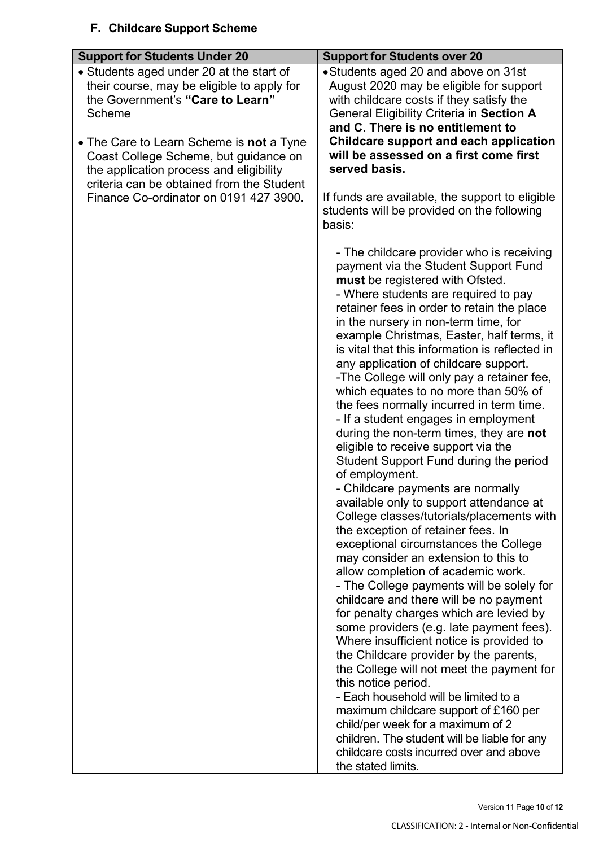# **F. Childcare Support Scheme**

| <b>Support for Students Under 20</b>                                                                                                                                                                                                                                               | <b>Support for Students over 20</b>                                                                                                                                                                                                                                                                                                                                                                                                                                                                                                                                                                                                                                                                                                                                                                                                                                                                                                                                                                                                                                                                                                                                                                                                                                                                                                                                                                                                                                                                                                                                                          |
|------------------------------------------------------------------------------------------------------------------------------------------------------------------------------------------------------------------------------------------------------------------------------------|----------------------------------------------------------------------------------------------------------------------------------------------------------------------------------------------------------------------------------------------------------------------------------------------------------------------------------------------------------------------------------------------------------------------------------------------------------------------------------------------------------------------------------------------------------------------------------------------------------------------------------------------------------------------------------------------------------------------------------------------------------------------------------------------------------------------------------------------------------------------------------------------------------------------------------------------------------------------------------------------------------------------------------------------------------------------------------------------------------------------------------------------------------------------------------------------------------------------------------------------------------------------------------------------------------------------------------------------------------------------------------------------------------------------------------------------------------------------------------------------------------------------------------------------------------------------------------------------|
| • Students aged under 20 at the start of<br>their course, may be eligible to apply for<br>the Government's "Care to Learn"<br><b>Scheme</b><br>• The Care to Learn Scheme is <b>not</b> a Tyne<br>Coast College Scheme, but guidance on<br>the application process and eligibility | •Students aged 20 and above on 31st<br>August 2020 may be eligible for support<br>with childcare costs if they satisfy the<br>General Eligibility Criteria in Section A<br>and C. There is no entitlement to<br>Childcare support and each application<br>will be assessed on a first come first<br>served basis.                                                                                                                                                                                                                                                                                                                                                                                                                                                                                                                                                                                                                                                                                                                                                                                                                                                                                                                                                                                                                                                                                                                                                                                                                                                                            |
| criteria can be obtained from the Student<br>Finance Co-ordinator on 0191 427 3900.                                                                                                                                                                                                | If funds are available, the support to eligible<br>students will be provided on the following<br>basis:                                                                                                                                                                                                                                                                                                                                                                                                                                                                                                                                                                                                                                                                                                                                                                                                                                                                                                                                                                                                                                                                                                                                                                                                                                                                                                                                                                                                                                                                                      |
|                                                                                                                                                                                                                                                                                    | - The childcare provider who is receiving<br>payment via the Student Support Fund<br>must be registered with Ofsted.<br>- Where students are required to pay<br>retainer fees in order to retain the place<br>in the nursery in non-term time, for<br>example Christmas, Easter, half terms, it<br>is vital that this information is reflected in<br>any application of childcare support.<br>-The College will only pay a retainer fee,<br>which equates to no more than 50% of<br>the fees normally incurred in term time.<br>- If a student engages in employment<br>during the non-term times, they are not<br>eligible to receive support via the<br>Student Support Fund during the period<br>of employment.<br>- Childcare payments are normally<br>available only to support attendance at<br>College classes/tutorials/placements with<br>the exception of retainer fees. In<br>exceptional circumstances the College<br>may consider an extension to this to<br>allow completion of academic work.<br>- The College payments will be solely for<br>childcare and there will be no payment<br>for penalty charges which are levied by<br>some providers (e.g. late payment fees).<br>Where insufficient notice is provided to<br>the Childcare provider by the parents,<br>the College will not meet the payment for<br>this notice period.<br>- Each household will be limited to a<br>maximum childcare support of £160 per<br>child/per week for a maximum of 2<br>children. The student will be liable for any<br>childcare costs incurred over and above<br>the stated limits. |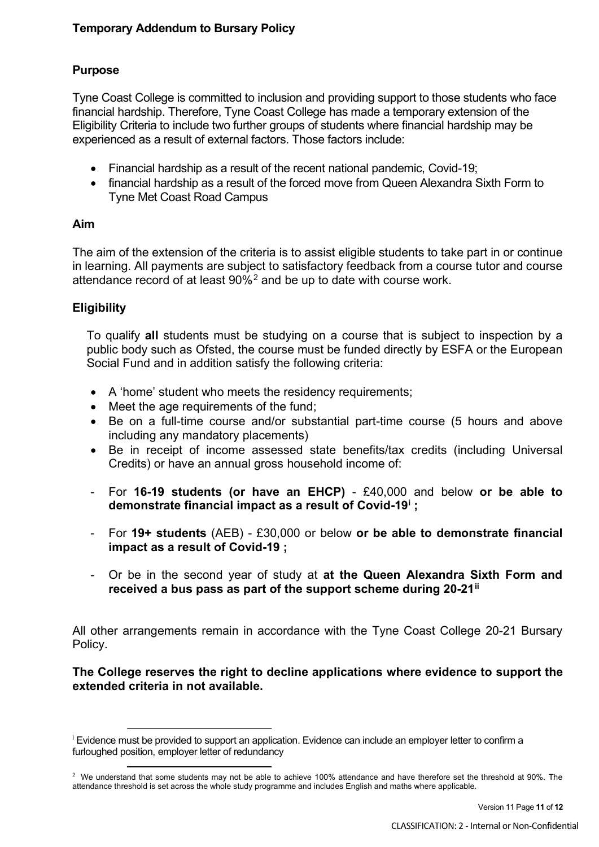## **Purpose**

Tyne Coast College is committed to inclusion and providing support to those students who face financial hardship. Therefore, Tyne Coast College has made a temporary extension of the Eligibility Criteria to include two further groups of students where financial hardship may be experienced as a result of external factors. Those factors include:

- Financial hardship as a result of the recent national pandemic, Covid-19;
- financial hardship as a result of the forced move from Queen Alexandra Sixth Form to Tyne Met Coast Road Campus

#### **Aim**

The aim of the extension of the criteria is to assist eligible students to take part in or continue in learning. All payments are subject to satisfactory feedback from a course tutor and course attendance record of at least 90%[2](#page-10-0) and be up to date with course work.

## **Eligibility**

To qualify **all** students must be studying on a course that is subject to inspection by a public body such as Ofsted, the course must be funded directly by ESFA or the European Social Fund and in addition satisfy the following criteria:

- A 'home' student who meets the residency requirements;
- Meet the age requirements of the fund;
- Be on a full-time course and/or substantial part-time course (5 hours and above including any mandatory placements)
- Be in receipt of income assessed state benefits/tax credits (including Universal Credits) or have an annual gross household income of:
- For **16-19 students (or have an EHCP)** £40,000 and below **or be able to demonstrate financial impact as a result of Covid-19[i](#page-10-1) ;**
- For **19+ students** (AEB) £30,000 or below **or be able to demonstrate financial impact as a result of Covid-19 ;**
- Or be in the second year of study at **at the Queen Alexandra Sixth Form and received a bus pass as part of the support scheme during 20-21[ii](#page-11-0)**

All other arrangements remain in accordance with the Tyne Coast College 20-21 Bursary Policy.

#### **The College reserves the right to decline applications where evidence to support the extended criteria in not available.**

<span id="page-10-1"></span><sup>&</sup>lt;sup>i</sup> Evidence must be provided to support an application. Evidence can include an employer letter to confirm a furloughed position, employer letter of redundancy

<span id="page-10-0"></span> $^2$  We understand that some students may not be able to achieve 100% attendance and have therefore set the threshold at 90%. The attendance threshold is set across the whole study programme and includes English and maths where applicable.